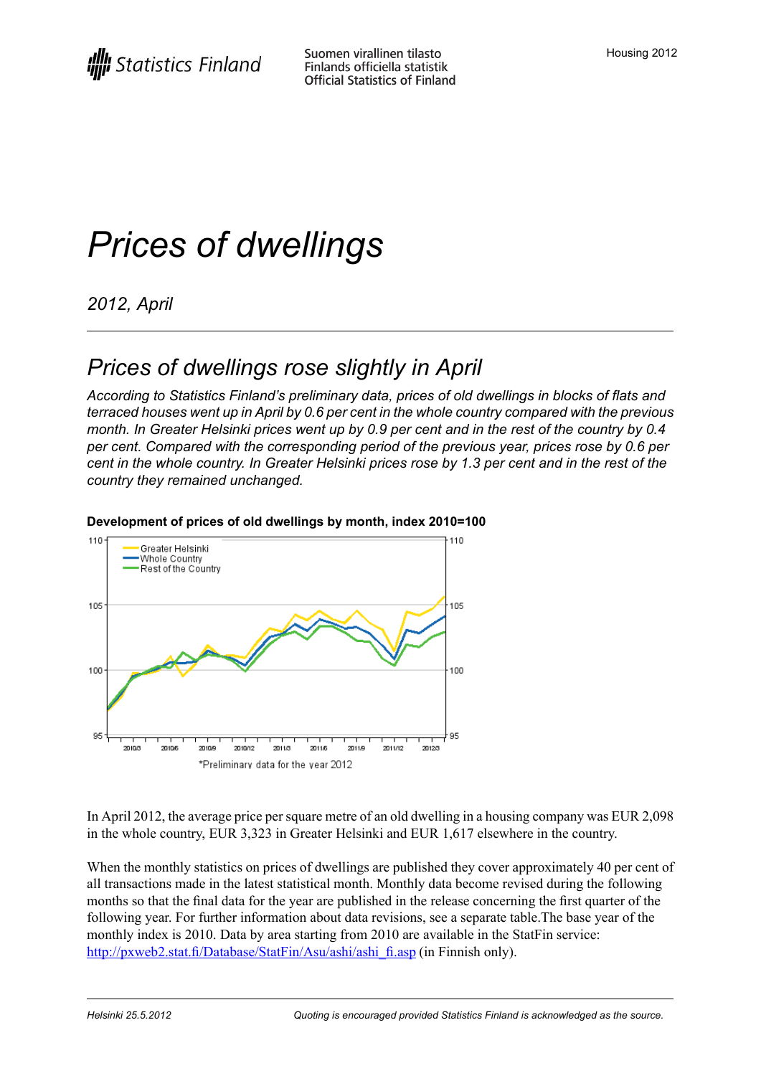# *Prices of dwellings*

*2012, April*

## *Prices of dwellings rose slightly in April*

*According to Statistics Finland's preliminary data, prices of old dwellings in blocks of flats and terraced houses went up in April by 0.6 per cent in the whole country compared with the previous* month. In Greater Helsinki prices went up by 0.9 per cent and in the rest of the country by 0.4 *per cent. Compared with the corresponding period of the previous year, prices rose by 0.6 per* cent in the whole country. In Greater Helsinki prices rose by 1.3 per cent and in the rest of the *country they remained unchanged.*



#### **Development of prices of old dwellings by month, index 2010=100**

In April 2012, the average price persquare metre of an old dwelling in a housing company was EUR 2,098 in the whole country, EUR 3,323 in Greater Helsinki and EUR 1,617 elsewhere in the country.

When the monthly statistics on prices of dwellings are published they cover approximately 40 per cent of all transactions made in the latest statistical month. Monthly data become revised during the following months so that the final data for the year are published in the release concerning the first quarter of the following year. For further information about data revisions, see a separate table.The base year of the monthly index is 2010. Data by area starting from 2010 are available in the StatFin service: [http://pxweb2.stat.fi/Database/StatFin/Asu/ashi/ashi\\_fi.asp](http://pxweb2.stat.fi/Database/StatFin/Asu/ashi/ashi_fi.asp) (in Finnish only).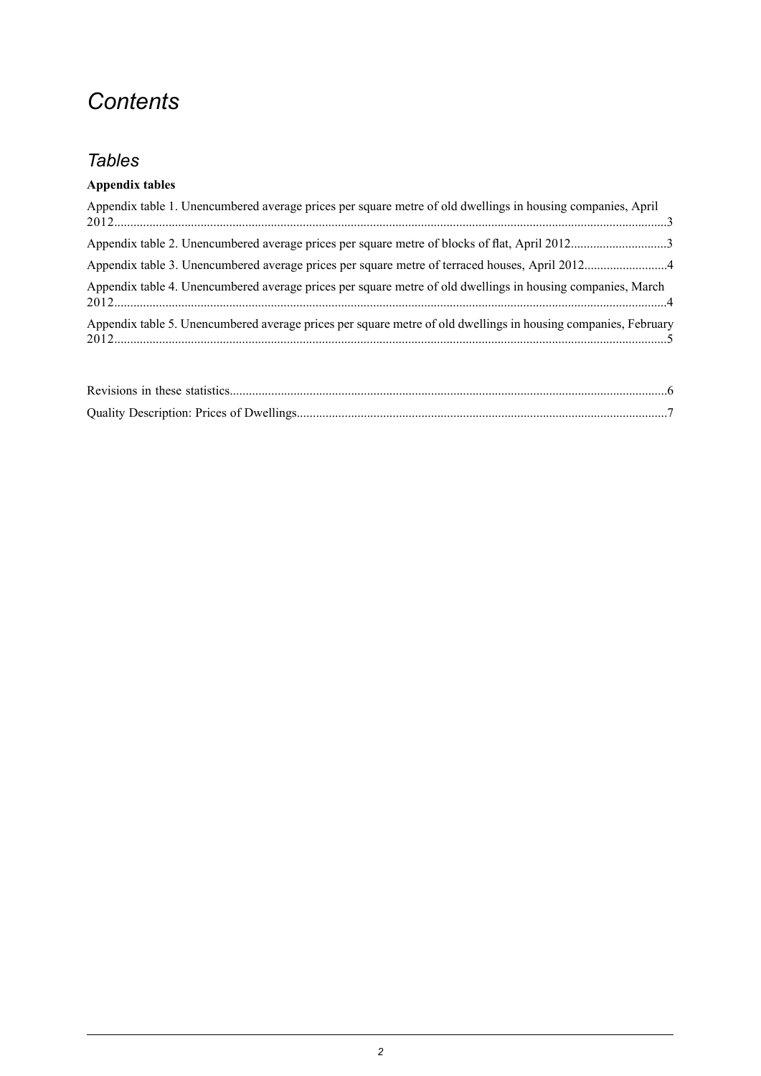## *Contents*

## *Tables*

#### **Appendix tables**

| Appendix table 1. Unencumbered average prices per square metre of old dwellings in housing companies, April    |
|----------------------------------------------------------------------------------------------------------------|
|                                                                                                                |
|                                                                                                                |
| Appendix table 4. Unencumbered average prices per square metre of old dwellings in housing companies, March    |
| Appendix table 5. Unencumbered average prices per square metre of old dwellings in housing companies, February |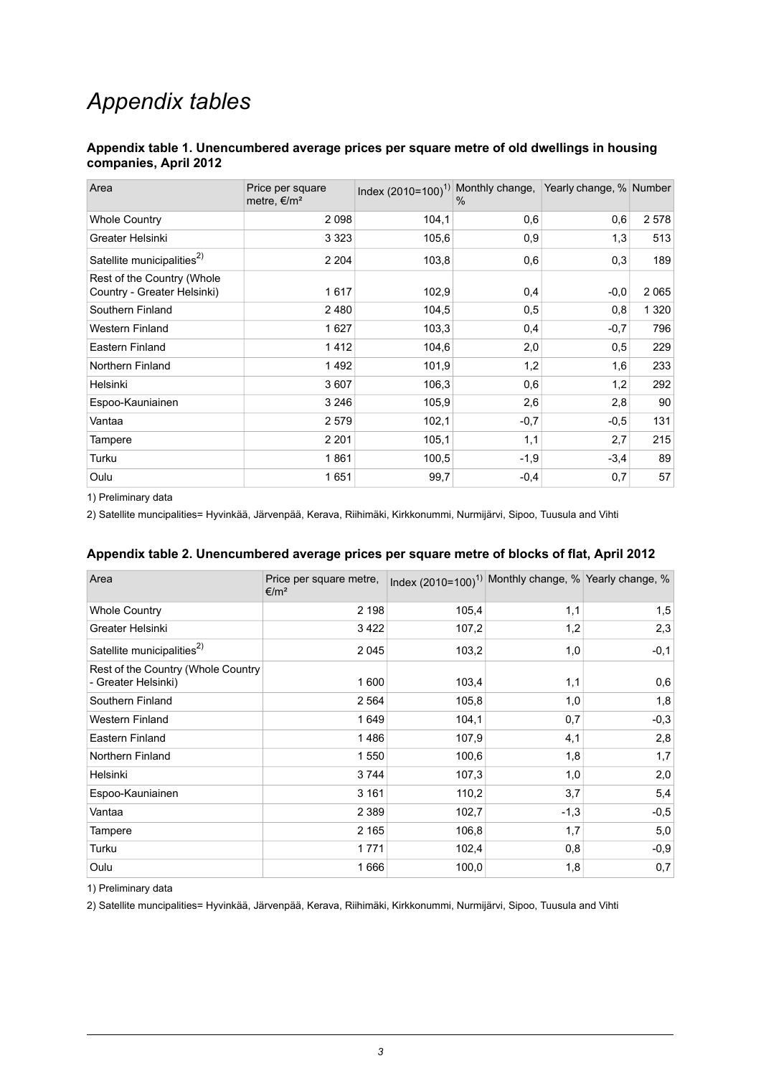## *Appendix tables*

#### <span id="page-2-0"></span>**Appendix table 1. Unencumbered average prices per square metre of old dwellings in housing companies, April 2012**

| Area                                                      | Price per square<br>metre, $\epsilon/m^2$ | Index (2010=100) <sup>1)</sup> Monthly change, Yearly change, % Number | $\%$   |        |         |
|-----------------------------------------------------------|-------------------------------------------|------------------------------------------------------------------------|--------|--------|---------|
| <b>Whole Country</b>                                      | 2098                                      | 104,1                                                                  | 0,6    | 0,6    | 2578    |
| Greater Helsinki                                          | 3 3 2 3                                   | 105,6                                                                  | 0,9    | 1,3    | 513     |
| Satellite municipalities <sup>2)</sup>                    | 2 2 0 4                                   | 103,8                                                                  | 0,6    | 0,3    | 189     |
| Rest of the Country (Whole<br>Country - Greater Helsinki) | 1617                                      | 102,9                                                                  | 0,4    | $-0,0$ | 2065    |
| Southern Finland                                          | 2480                                      | 104,5                                                                  | 0,5    | 0,8    | 1 3 2 0 |
| <b>Western Finland</b>                                    | 1627                                      | 103,3                                                                  | 0,4    | $-0,7$ | 796     |
| Eastern Finland                                           | 1412                                      | 104,6                                                                  | 2,0    | 0,5    | 229     |
| Northern Finland                                          | 1492                                      | 101,9                                                                  | 1,2    | 1,6    | 233     |
| Helsinki                                                  | 3607                                      | 106,3                                                                  | 0,6    | 1,2    | 292     |
| Espoo-Kauniainen                                          | 3 2 4 6                                   | 105,9                                                                  | 2,6    | 2,8    | 90      |
| Vantaa                                                    | 2579                                      | 102,1                                                                  | $-0,7$ | $-0,5$ | 131     |
| Tampere                                                   | 2 2 0 1                                   | 105,1                                                                  | 1,1    | 2,7    | 215     |
| Turku                                                     | 1861                                      | 100,5                                                                  | $-1,9$ | $-3,4$ | 89      |
| Oulu                                                      | 1651                                      | 99,7                                                                   | $-0,4$ | 0,7    | 57      |

<span id="page-2-1"></span>1) Preliminary data

2) Satellite muncipalities= Hyvinkää, Järvenpää, Kerava, Riihimäki, Kirkkonummi, Nurmijärvi, Sipoo, Tuusula and Vihti

#### **Appendix table 2. Unencumbered average prices per square metre of blocks of flat, April 2012**

| Area                                                      | Price per square metre,<br>€/m <sup>2</sup> |       | Index (2010=100) <sup>1)</sup> Monthly change, % Yearly change, % |        |
|-----------------------------------------------------------|---------------------------------------------|-------|-------------------------------------------------------------------|--------|
| <b>Whole Country</b>                                      | 2 1 9 8                                     | 105,4 | 1,1                                                               | 1,5    |
| Greater Helsinki                                          | 3422                                        | 107,2 | 1,2                                                               | 2,3    |
| Satellite municipalities <sup>2)</sup>                    | 2045                                        | 103,2 | 1,0                                                               | $-0,1$ |
| Rest of the Country (Whole Country<br>- Greater Helsinki) | 1600                                        | 103,4 | 1,1                                                               | 0,6    |
| Southern Finland                                          | 2 5 6 4                                     | 105,8 | 1,0                                                               | 1,8    |
| <b>Western Finland</b>                                    | 1649                                        | 104,1 | 0,7                                                               | $-0,3$ |
| Eastern Finland                                           | 1486                                        | 107,9 | 4,1                                                               | 2,8    |
| Northern Finland                                          | 1550                                        | 100,6 | 1,8                                                               | 1,7    |
| Helsinki                                                  | 3744                                        | 107,3 | 1,0                                                               | 2,0    |
| Espoo-Kauniainen                                          | 3 1 6 1                                     | 110,2 | 3,7                                                               | 5,4    |
| Vantaa                                                    | 2 3 8 9                                     | 102,7 | $-1,3$                                                            | $-0,5$ |
| Tampere                                                   | 2 1 6 5                                     | 106,8 | 1,7                                                               | 5,0    |
| Turku                                                     | 1771                                        | 102,4 | 0,8                                                               | $-0,9$ |
| Oulu                                                      | 1666                                        | 100,0 | 1,8                                                               | 0,7    |

1) Preliminary data

2) Satellite muncipalities= Hyvinkää, Järvenpää, Kerava, Riihimäki, Kirkkonummi, Nurmijärvi, Sipoo, Tuusula and Vihti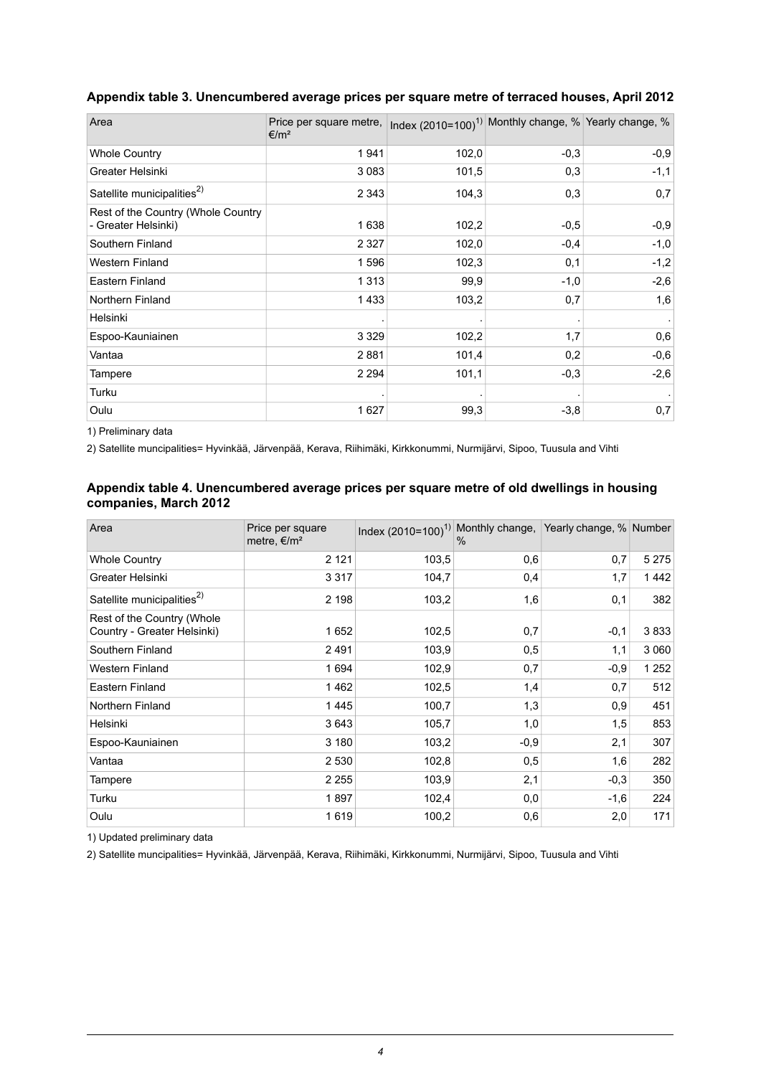| Area                                                      | Price per square metre,<br>$€/m^2$ |       | Index (2010=100) <sup>1)</sup> Monthly change, % Yearly change, % |        |
|-----------------------------------------------------------|------------------------------------|-------|-------------------------------------------------------------------|--------|
| <b>Whole Country</b>                                      | 1941                               | 102,0 | $-0.3$                                                            | $-0,9$ |
| Greater Helsinki                                          | 3 0 8 3                            | 101,5 | 0,3                                                               | $-1,1$ |
| Satellite municipalities <sup>2)</sup>                    | 2 3 4 3                            | 104,3 | 0,3                                                               | 0,7    |
| Rest of the Country (Whole Country<br>- Greater Helsinki) | 1638                               | 102,2 | $-0,5$                                                            | $-0,9$ |
| Southern Finland                                          | 2 3 2 7                            | 102,0 | $-0,4$                                                            | $-1,0$ |
| <b>Western Finland</b>                                    | 1596                               | 102,3 | 0,1                                                               | $-1,2$ |
| Eastern Finland                                           | 1313                               | 99,9  | $-1,0$                                                            | $-2,6$ |
| Northern Finland                                          | 1433                               | 103,2 | 0,7                                                               | 1,6    |
| Helsinki                                                  |                                    |       |                                                                   |        |
| Espoo-Kauniainen                                          | 3 3 2 9                            | 102,2 | 1,7                                                               | 0,6    |
| Vantaa                                                    | 2881                               | 101,4 | 0,2                                                               | $-0,6$ |
| Tampere                                                   | 2 2 9 4                            | 101,1 | $-0,3$                                                            | $-2,6$ |
| Turku                                                     |                                    |       |                                                                   |        |
| Oulu                                                      | 1627                               | 99,3  | $-3,8$                                                            | 0,7    |

#### <span id="page-3-0"></span>**Appendix table 3. Unencumbered average prices per square metre of terraced houses, April 2012**

<span id="page-3-1"></span>1) Preliminary data

2) Satellite muncipalities= Hyvinkää, Järvenpää, Kerava, Riihimäki, Kirkkonummi, Nurmijärvi, Sipoo, Tuusula and Vihti

#### **Appendix table 4. Unencumbered average prices per square metre of old dwellings in housing companies, March 2012**

| Area                                                      | Price per square<br>metre, $\epsilon/m^2$ | Index (2010=100) <sup>1)</sup> Monthly change, Yearly change, % Number | $\%$   |        |         |
|-----------------------------------------------------------|-------------------------------------------|------------------------------------------------------------------------|--------|--------|---------|
| <b>Whole Country</b>                                      | 2 1 2 1                                   | 103,5                                                                  | 0,6    | 0,7    | 5 2 7 5 |
| Greater Helsinki                                          | 3 3 1 7                                   | 104,7                                                                  | 0,4    | 1,7    | 1442    |
| Satellite municipalities <sup>2)</sup>                    | 2 1 9 8                                   | 103,2                                                                  | 1,6    | 0,1    | 382     |
| Rest of the Country (Whole<br>Country - Greater Helsinki) | 1652                                      | 102,5                                                                  | 0,7    | $-0,1$ | 3833    |
| Southern Finland                                          | 2491                                      | 103,9                                                                  | 0,5    | 1,1    | 3 0 6 0 |
| <b>Western Finland</b>                                    | 1694                                      | 102,9                                                                  | 0,7    | $-0,9$ | 1 2 5 2 |
| Eastern Finland                                           | 1462                                      | 102,5                                                                  | 1,4    | 0,7    | 512     |
| Northern Finland                                          | 1445                                      | 100,7                                                                  | 1,3    | 0,9    | 451     |
| Helsinki                                                  | 3643                                      | 105,7                                                                  | 1,0    | 1,5    | 853     |
| Espoo-Kauniainen                                          | 3 1 8 0                                   | 103,2                                                                  | $-0.9$ | 2,1    | 307     |
| Vantaa                                                    | 2 5 3 0                                   | 102,8                                                                  | 0,5    | 1,6    | 282     |
| Tampere                                                   | 2 2 5 5                                   | 103,9                                                                  | 2,1    | $-0,3$ | 350     |
| Turku                                                     | 1897                                      | 102,4                                                                  | 0,0    | $-1,6$ | 224     |
| Oulu                                                      | 1619                                      | 100,2                                                                  | 0,6    | 2,0    | 171     |

1) Updated preliminary data

2) Satellite muncipalities= Hyvinkää, Järvenpää, Kerava, Riihimäki, Kirkkonummi, Nurmijärvi, Sipoo, Tuusula and Vihti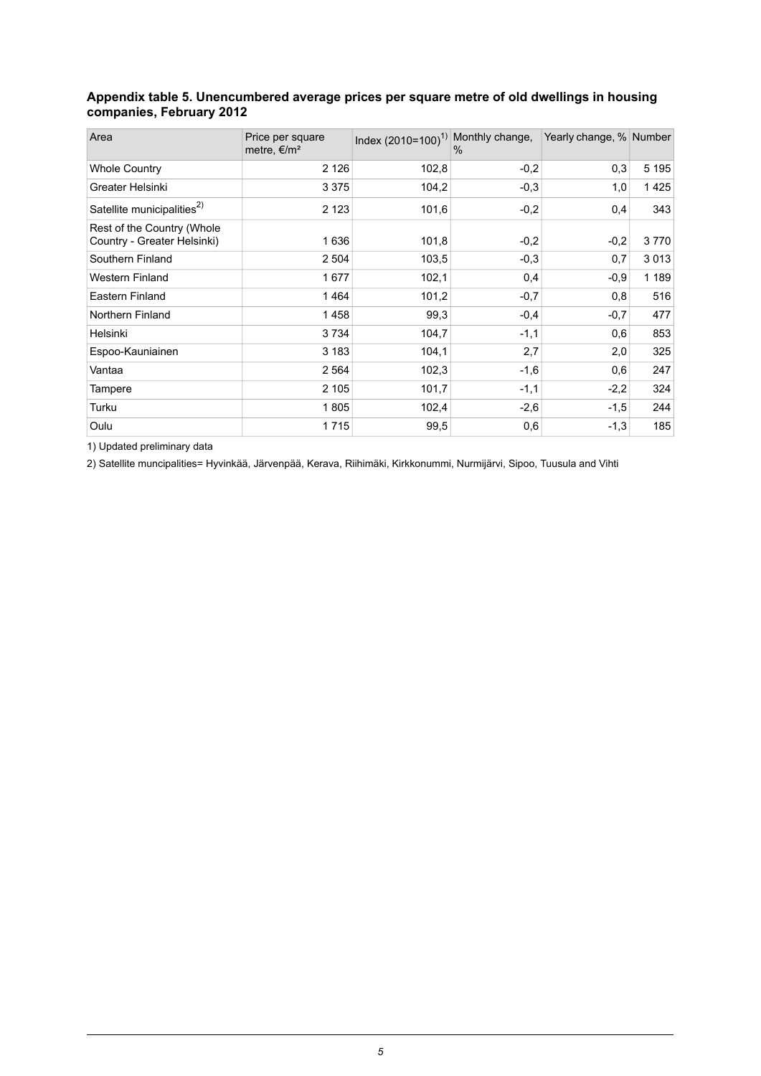#### <span id="page-4-0"></span>**Appendix table 5. Unencumbered average prices per square metre of old dwellings in housing companies, February 2012**

| Area                                                      | Price per square<br>metre, $\epsilon/m^2$ | Index $(2010=100)^{1}$ Monthly change, | %      | Yearly change, % Number |         |
|-----------------------------------------------------------|-------------------------------------------|----------------------------------------|--------|-------------------------|---------|
| <b>Whole Country</b>                                      | 2 1 2 6                                   | 102,8                                  | $-0,2$ | 0,3                     | 5 1 9 5 |
| Greater Helsinki                                          | 3 3 7 5                                   | 104,2                                  | $-0,3$ | 1,0                     | 1425    |
| Satellite municipalities <sup>2)</sup>                    | 2 1 2 3                                   | 101,6                                  | $-0,2$ | 0,4                     | 343     |
| Rest of the Country (Whole<br>Country - Greater Helsinki) | 1636                                      | 101,8                                  | $-0,2$ | $-0,2$                  | 3770    |
| Southern Finland                                          | 2 5 0 4                                   | 103,5                                  | $-0,3$ | 0,7                     | 3013    |
| <b>Western Finland</b>                                    | 1677                                      | 102,1                                  | 0,4    | $-0,9$                  | 1 1 8 9 |
| Eastern Finland                                           | 1464                                      | 101,2                                  | $-0,7$ | 0,8                     | 516     |
| Northern Finland                                          | 1458                                      | 99,3                                   | $-0,4$ | $-0.7$                  | 477     |
| Helsinki                                                  | 3734                                      | 104,7                                  | $-1,1$ | 0,6                     | 853     |
| Espoo-Kauniainen                                          | 3 183                                     | 104,1                                  | 2,7    | 2,0                     | 325     |
| Vantaa                                                    | 2 5 6 4                                   | 102,3                                  | $-1,6$ | 0,6                     | 247     |
| Tampere                                                   | 2 1 0 5                                   | 101,7                                  | $-1,1$ | $-2,2$                  | 324     |
| Turku                                                     | 1805                                      | 102,4                                  | $-2,6$ | $-1,5$                  | 244     |
| Oulu                                                      | 1715                                      | 99,5                                   | 0,6    | $-1,3$                  | 185     |

1) Updated preliminary data

2) Satellite muncipalities= Hyvinkää, Järvenpää, Kerava, Riihimäki, Kirkkonummi, Nurmijärvi, Sipoo, Tuusula and Vihti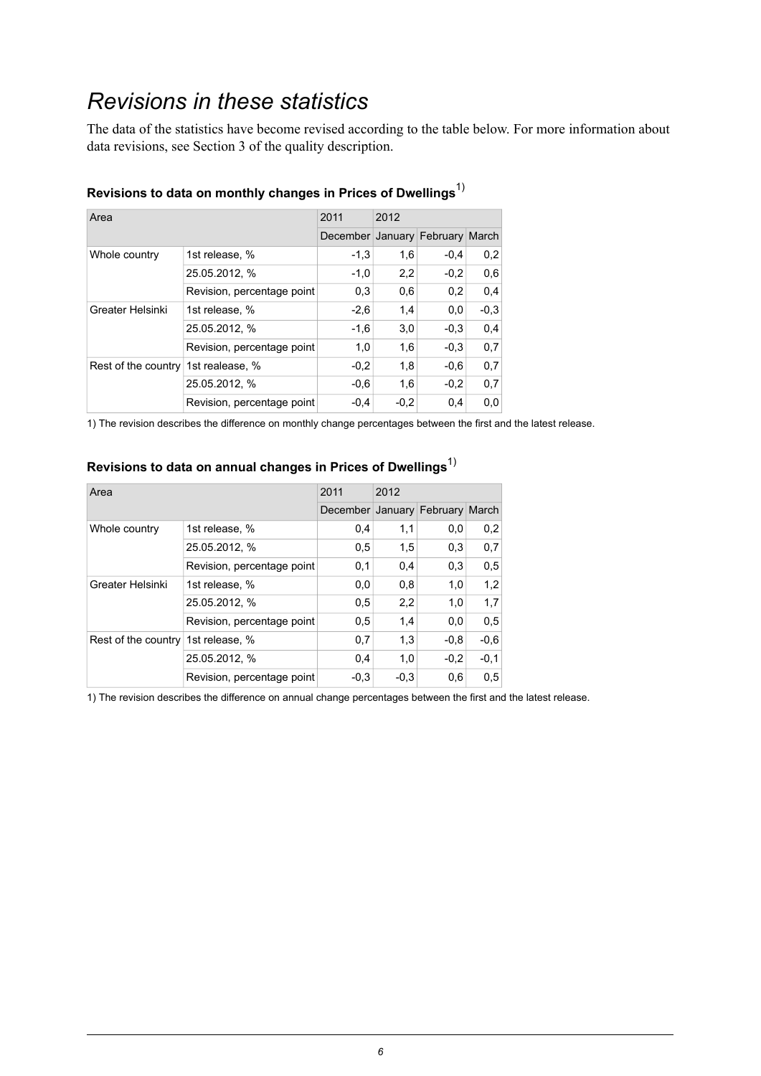## <span id="page-5-0"></span>*Revisions in these statistics*

The data of the statistics have become revised according to the table below. For more information about data revisions, see Section 3 of the quality description.

| Area                                |                            | 2011                            | 2012   |        |        |
|-------------------------------------|----------------------------|---------------------------------|--------|--------|--------|
|                                     |                            | December January February March |        |        |        |
| Whole country                       | 1st release, %             | $-1,3$                          | 1,6    | $-0,4$ | 0,2    |
|                                     | 25.05.2012, %              | $-1,0$                          | 2,2    | $-0.2$ | 0,6    |
|                                     | Revision, percentage point | 0,3                             | 0,6    | 0,2    | 0.4    |
| Greater Helsinki                    | 1st release, %             | $-2,6$                          | 1,4    | 0,0    | $-0.3$ |
|                                     | 25.05.2012, %              | $-1,6$                          | 3,0    | $-0.3$ | 0,4    |
|                                     | Revision, percentage point | 1,0                             | 1,6    | $-0.3$ | 0.7    |
| Rest of the country 1st realease, % |                            | $-0,2$                          | 1,8    | $-0.6$ | 0,7    |
|                                     | 25.05.2012. %              | $-0.6$                          | 1.6    | $-0.2$ | 0.7    |
|                                     | Revision, percentage point | $-0.4$                          | $-0.2$ | 0.4    | 0.0    |

### **Revisions to data on monthly changes in Prices of Dwellings**1)

1) The revision describes the difference on monthly change percentages between the first and the latest release.

## **Revisions to data on annual changes in Prices of Dwellings**1)

| Area                               |                            | 2011                            | 2012   |        |        |
|------------------------------------|----------------------------|---------------------------------|--------|--------|--------|
|                                    |                            | December January February March |        |        |        |
| Whole country                      | 1st release, %             | 0,4                             | 1,1    | 0.0    | 0,2    |
|                                    | 25.05.2012, %              | 0,5                             | 1,5    | 0,3    | 0,7    |
|                                    | Revision, percentage point | 0,1                             | 0,4    | 0,3    | 0,5    |
| Greater Helsinki                   | 1st release, %             | 0,0                             | 0,8    | 1,0    | 1,2    |
|                                    | 25.05.2012, %              | 0,5                             | 2,2    | 1,0    | 1,7    |
|                                    | Revision, percentage point | 0,5                             | 1,4    | 0,0    | 0,5    |
| Rest of the country 1st release, % |                            | 0,7                             | 1,3    | $-0.8$ | $-0.6$ |
|                                    | 25.05.2012, %              | 0,4                             | 1,0    | $-0.2$ | $-0,1$ |
|                                    | Revision, percentage point | $-0.3$                          | $-0.3$ | 0,6    | 0,5    |

1) The revision describes the difference on annual change percentages between the first and the latest release.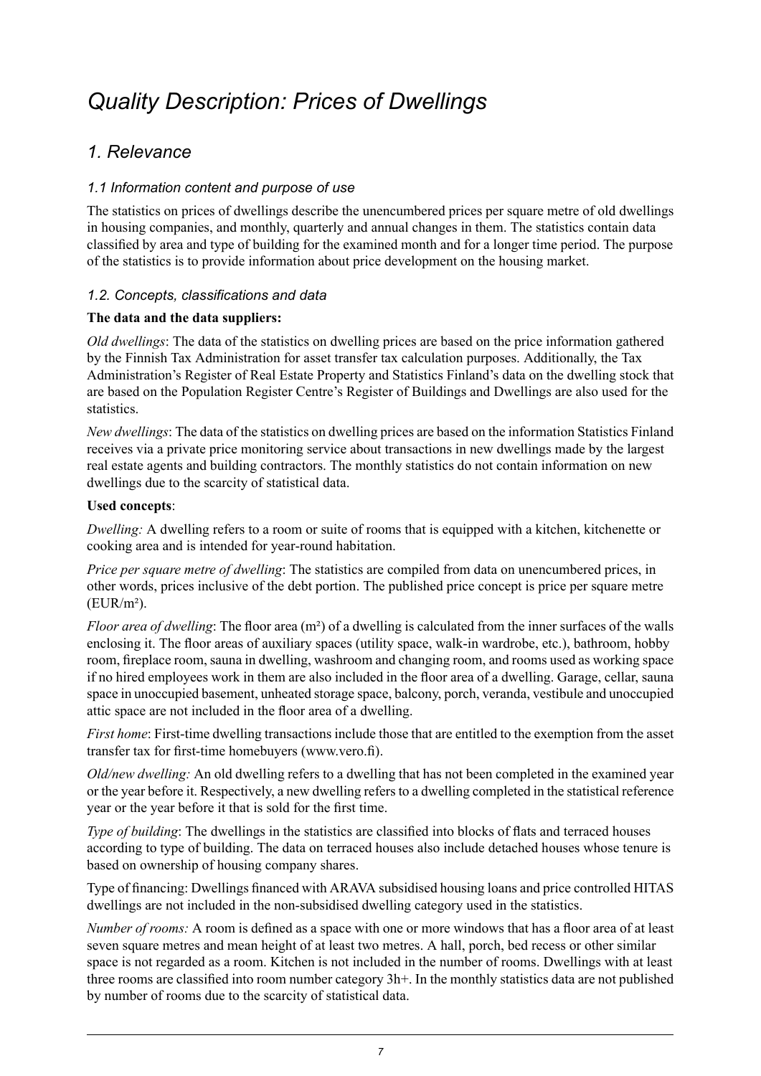## <span id="page-6-0"></span>*Quality Description: Prices of Dwellings*

## *1. Relevance*

#### *1.1 Information content and purpose of use*

The statistics on prices of dwellings describe the unencumbered prices per square metre of old dwellings in housing companies, and monthly, quarterly and annual changes in them. The statistics contain data classified by area and type of building for the examined month and for a longer time period. The purpose of the statistics is to provide information about price development on the housing market.

#### *1.2. Concepts, classifications and data*

#### **The data and the data suppliers:**

*Old dwellings*: The data of the statistics on dwelling prices are based on the price information gathered by the Finnish Tax Administration for asset transfer tax calculation purposes. Additionally, the Tax Administration's Register of Real Estate Property and Statistics Finland's data on the dwelling stock that are based on the Population Register Centre's Register of Buildings and Dwellings are also used for the statistics.

*New dwellings*: The data of the statistics on dwelling prices are based on the information Statistics Finland receives via a private price monitoring service about transactions in new dwellings made by the largest real estate agents and building contractors. The monthly statistics do not contain information on new dwellings due to the scarcity of statistical data.

#### **Used concepts**:

*Dwelling:* A dwelling refers to a room or suite of rooms that is equipped with a kitchen, kitchenette or cooking area and is intended for year-round habitation.

*Price per square metre of dwelling*: The statistics are compiled from data on unencumbered prices, in other words, prices inclusive of the debt portion. The published price concept is price per square metre  $(EUR/m<sup>2</sup>)$ .

*Floor area of dwelling*: The floor area (m²) of a dwelling is calculated from the inner surfaces of the walls enclosing it. The floor areas of auxiliary spaces (utility space, walk-in wardrobe, etc.), bathroom, hobby room, fireplace room, sauna in dwelling, washroom and changing room, and rooms used as working space if no hired employees work in them are also included in the floor area of a dwelling. Garage, cellar, sauna space in unoccupied basement, unheated storage space, balcony, porch, veranda, vestibule and unoccupied attic space are not included in the floor area of a dwelling.

*First home*: First-time dwelling transactions include those that are entitled to the exemption from the asset transfer tax for first-time homebuyers (www.vero.fi).

*Old/new dwelling:* An old dwelling refers to a dwelling that has not been completed in the examined year or the year before it. Respectively, a new dwelling refers to a dwelling completed in the statistical reference year or the year before it that is sold for the first time.

*Type of building*: The dwellings in the statistics are classified into blocks of flats and terraced houses according to type of building. The data on terraced houses also include detached houses whose tenure is based on ownership of housing company shares.

Type of financing: Dwellings financed with ARAVA subsidised housing loans and price controlled HITAS dwellings are not included in the non-subsidised dwelling category used in the statistics.

*Number of rooms:* A room is defined as a space with one or more windows that has a floor area of at least seven square metres and mean height of at least two metres. A hall, porch, bed recess or other similar space is not regarded as a room. Kitchen is not included in the number of rooms. Dwellings with at least three rooms are classified into room number category 3h+. In the monthly statistics data are not published by number of rooms due to the scarcity of statistical data.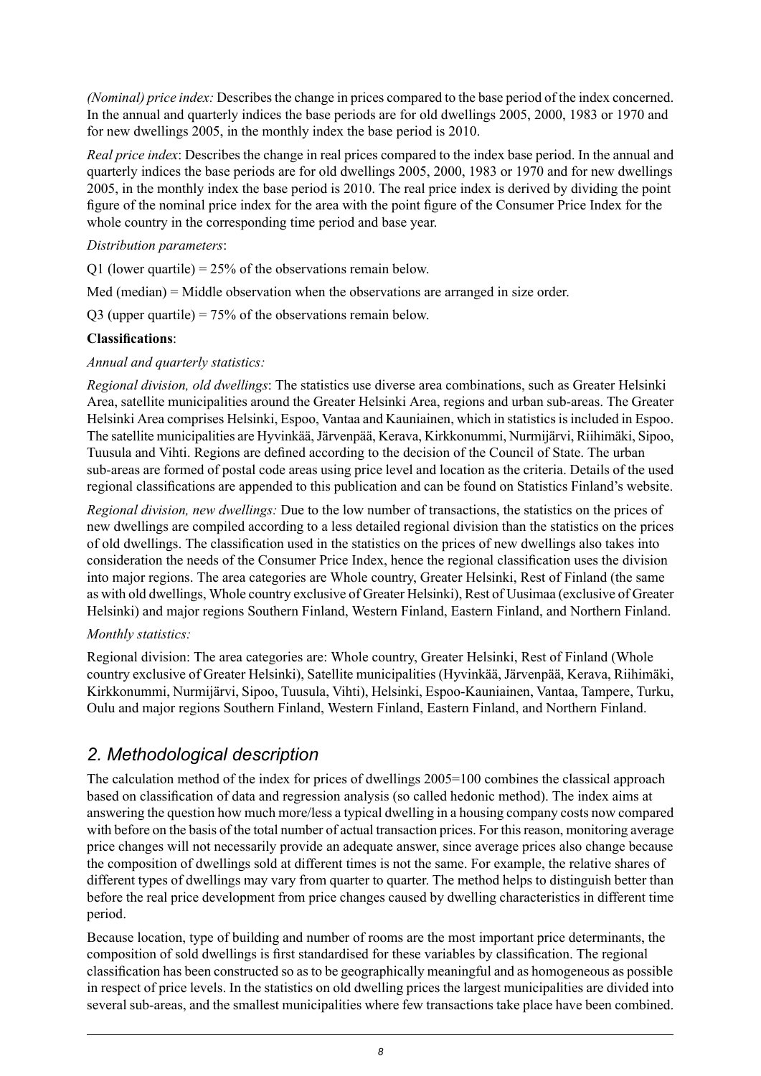*(Nominal) price index:* Describes the change in prices compared to the base period of the index concerned. In the annual and quarterly indices the base periods are for old dwellings 2005, 2000, 1983 or 1970 and for new dwellings 2005, in the monthly index the base period is 2010.

*Real price index*: Describes the change in real prices compared to the index base period. In the annual and quarterly indices the base periods are for old dwellings 2005, 2000, 1983 or 1970 and for new dwellings 2005, in the monthly index the base period is 2010. The real price index is derived by dividing the point figure of the nominal price index for the area with the point figure of the Consumer Price Index for the whole country in the corresponding time period and base year.

#### *Distribution parameters*:

Q1 (lower quartile) =  $25\%$  of the observations remain below.

Med (median) = Middle observation when the observations are arranged in size order.

 $Q3$  (upper quartile) = 75% of the observations remain below.

#### **Classifications**:

#### *Annual and quarterly statistics:*

*Regional division, old dwellings*: The statistics use diverse area combinations, such as Greater Helsinki Area, satellite municipalities around the Greater Helsinki Area, regions and urban sub-areas. The Greater Helsinki Area comprises Helsinki, Espoo, Vantaa and Kauniainen, which in statisticsisincluded in Espoo. The satellite municipalities are Hyvinkää, Järvenpää, Kerava, Kirkkonummi, Nurmijärvi, Riihimäki, Sipoo, Tuusula and Vihti. Regions are defined according to the decision of the Council of State. The urban sub-areas are formed of postal code areas using price level and location as the criteria. Details of the used regional classifications are appended to this publication and can be found on Statistics Finland's website.

*Regional division, new dwellings:* Due to the low number of transactions, the statistics on the prices of new dwellings are compiled according to a less detailed regional division than the statistics on the prices of old dwellings. The classification used in the statistics on the prices of new dwellings also takes into consideration the needs of the Consumer Price Index, hence the regional classification uses the division into major regions. The area categories are Whole country, Greater Helsinki, Rest of Finland (the same as with old dwellings, Whole country exclusive of Greater Helsinki), Rest of Uusimaa (exclusive of Greater Helsinki) and major regions Southern Finland, Western Finland, Eastern Finland, and Northern Finland.

#### *Monthly statistics:*

Regional division: The area categories are: Whole country, Greater Helsinki, Rest of Finland (Whole country exclusive of Greater Helsinki), Satellite municipalities (Hyvinkää, Järvenpää, Kerava, Riihimäki, Kirkkonummi, Nurmijärvi, Sipoo, Tuusula, Vihti), Helsinki, Espoo-Kauniainen, Vantaa, Tampere, Turku, Oulu and major regions Southern Finland, Western Finland, Eastern Finland, and Northern Finland.

## *2. Methodological description*

The calculation method of the index for prices of dwellings 2005=100 combines the classical approach based on classification of data and regression analysis (so called hedonic method). The index aims at answering the question how much more/less a typical dwelling in a housing company costs now compared with before on the basis of the total number of actual transaction prices. For this reason, monitoring average price changes will not necessarily provide an adequate answer, since average prices also change because the composition of dwellings sold at different times is not the same. For example, the relative shares of different types of dwellings may vary from quarter to quarter. The method helps to distinguish better than before the real price development from price changes caused by dwelling characteristics in different time period.

Because location, type of building and number of rooms are the most important price determinants, the composition of sold dwellings is first standardised for these variables by classification. The regional classification has been constructed so as to be geographically meaningful and as homogeneous as possible in respect of price levels. In the statistics on old dwelling prices the largest municipalities are divided into several sub-areas, and the smallest municipalities where few transactions take place have been combined.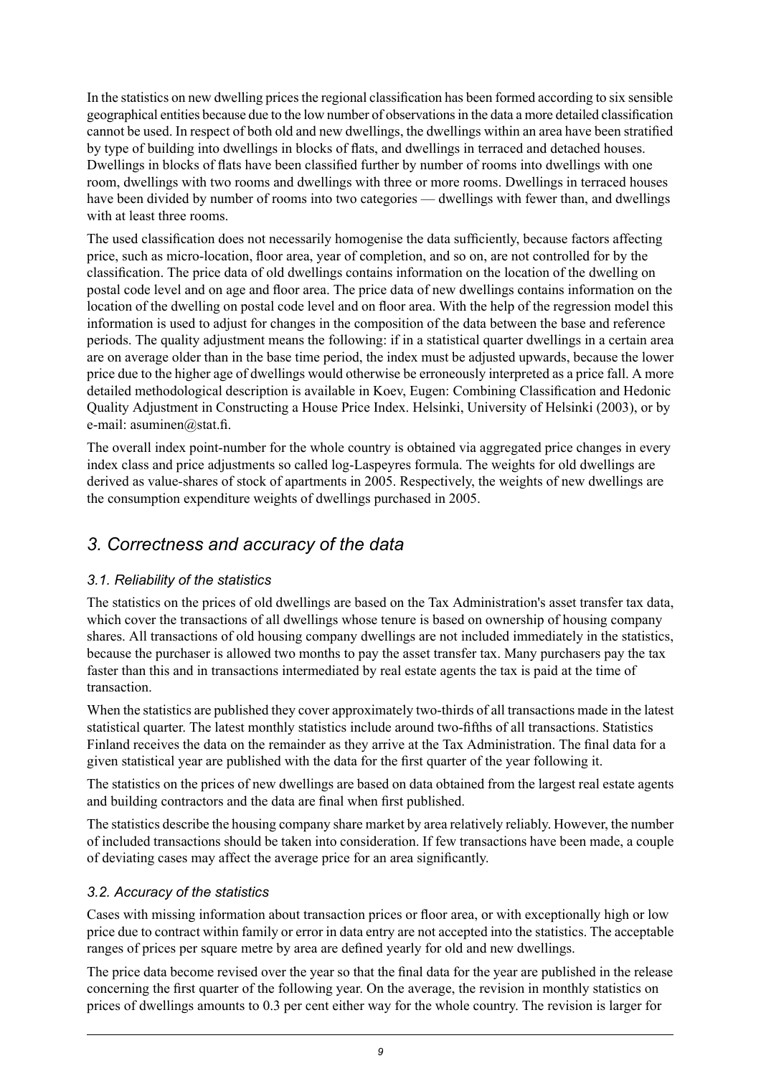In the statistics on new dwelling prices the regional classification has been formed according to six sensible geographical entities because due to the low number of observationsin the data a more detailed classification cannot be used. In respect of both old and new dwellings, the dwellings within an area have been stratified by type of building into dwellings in blocks of flats, and dwellings in terraced and detached houses. Dwellings in blocks of flats have been classified further by number of rooms into dwellings with one room, dwellings with two rooms and dwellings with three or more rooms. Dwellings in terraced houses have been divided by number of rooms into two categories — dwellings with fewer than, and dwellings with at least three rooms.

The used classification does not necessarily homogenise the data sufficiently, because factors affecting price, such as micro-location, floor area, year of completion, and so on, are not controlled for by the classification. The price data of old dwellings contains information on the location of the dwelling on postal code level and on age and floor area. The price data of new dwellings contains information on the location of the dwelling on postal code level and on floor area. With the help of the regression model this information is used to adjust for changes in the composition of the data between the base and reference periods. The quality adjustment means the following: if in a statistical quarter dwellings in a certain area are on average older than in the base time period, the index must be adjusted upwards, because the lower price due to the higher age of dwellings would otherwise be erroneously interpreted as a price fall. A more detailed methodological description is available in Koev, Eugen: Combining Classification and Hedonic Quality Adjustment in Constructing a House Price Index. Helsinki, University of Helsinki (2003), or by e-mail: asuminen@stat.fi.

The overall index point-number for the whole country is obtained via aggregated price changes in every index class and price adjustments so called log-Laspeyres formula. The weights for old dwellings are derived as value-shares of stock of apartments in 2005. Respectively, the weights of new dwellings are the consumption expenditure weights of dwellings purchased in 2005.

## *3. Correctness and accuracy of the data*

#### *3.1. Reliability of the statistics*

The statistics on the prices of old dwellings are based on the Tax Administration's asset transfer tax data, which cover the transactions of all dwellings whose tenure is based on ownership of housing company shares. All transactions of old housing company dwellings are not included immediately in the statistics, because the purchaser is allowed two months to pay the asset transfer tax. Many purchasers pay the tax faster than this and in transactions intermediated by real estate agents the tax is paid at the time of transaction.

When the statistics are published they cover approximately two-thirds of all transactions made in the latest statistical quarter. The latest monthly statistics include around two-fifths of all transactions. Statistics Finland receives the data on the remainder as they arrive at the Tax Administration. The final data for a given statistical year are published with the data for the first quarter of the year following it.

The statistics on the prices of new dwellings are based on data obtained from the largest real estate agents and building contractors and the data are final when first published.

The statistics describe the housing company share market by area relatively reliably. However, the number of included transactions should be taken into consideration. If few transactions have been made, a couple of deviating cases may affect the average price for an area significantly.

#### *3.2. Accuracy of the statistics*

Cases with missing information about transaction prices or floor area, or with exceptionally high or low price due to contract within family or error in data entry are not accepted into the statistics. The acceptable ranges of prices per square metre by area are defined yearly for old and new dwellings.

The price data become revised over the year so that the final data for the year are published in the release concerning the first quarter of the following year. On the average, the revision in monthly statistics on prices of dwellings amounts to 0.3 per cent either way for the whole country. The revision is larger for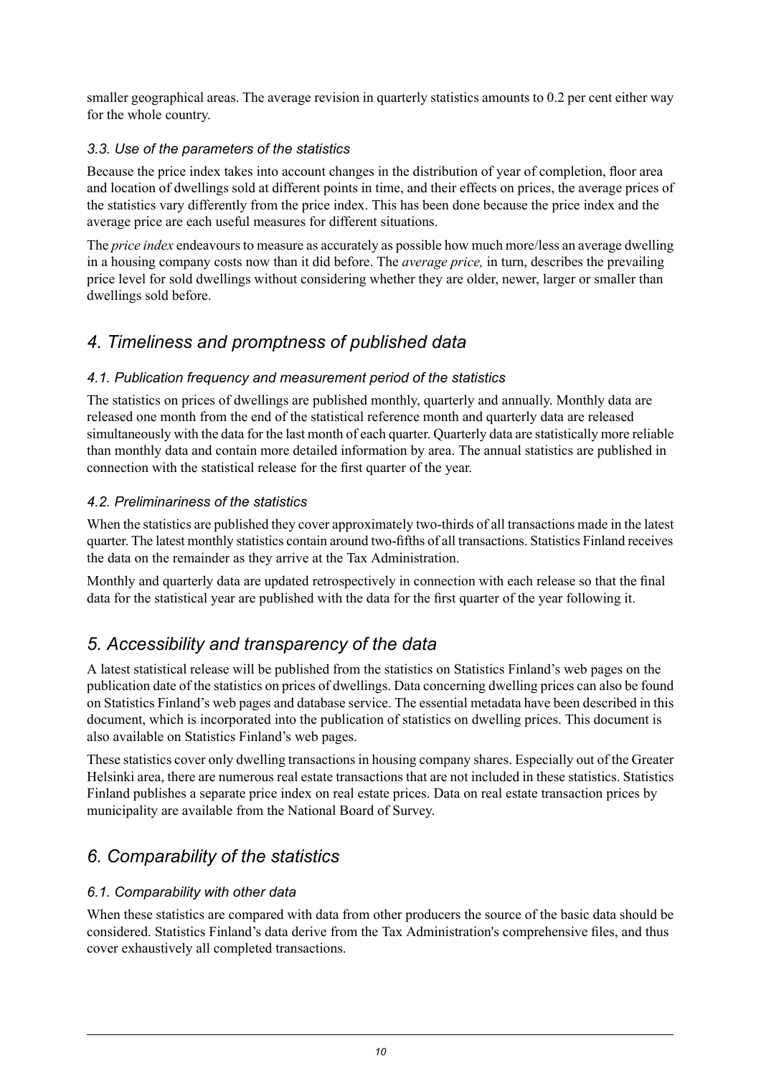smaller geographical areas. The average revision in quarterly statistics amounts to 0.2 per cent either way for the whole country.

#### *3.3. Use of the parameters of the statistics*

Because the price index takes into account changes in the distribution of year of completion, floor area and location of dwellings sold at different points in time, and their effects on prices, the average prices of the statistics vary differently from the price index. This has been done because the price index and the average price are each useful measures for different situations.

The *price index* endeavours to measure as accurately as possible how much more/less an average dwelling in a housing company costs now than it did before. The *average price,* in turn, describes the prevailing price level for sold dwellings without considering whether they are older, newer, larger or smaller than dwellings sold before.

## *4. Timeliness and promptness of published data*

#### *4.1. Publication frequency and measurement period of the statistics*

The statistics on prices of dwellings are published monthly, quarterly and annually. Monthly data are released one month from the end of the statistical reference month and quarterly data are released simultaneously with the data for the last month of each quarter. Quarterly data are statistically more reliable than monthly data and contain more detailed information by area. The annual statistics are published in connection with the statistical release for the first quarter of the year.

#### *4.2. Preliminariness of the statistics*

When the statistics are published they cover approximately two-thirds of all transactions made in the latest quarter. The latest monthly statistics contain around two-fifths of all transactions. Statistics Finland receives the data on the remainder as they arrive at the Tax Administration.

Monthly and quarterly data are updated retrospectively in connection with each release so that the final data for the statistical year are published with the data for the first quarter of the year following it.

## *5. Accessibility and transparency of the data*

A latest statistical release will be published from the statistics on Statistics Finland's web pages on the publication date of the statistics on prices of dwellings. Data concerning dwelling prices can also be found on Statistics Finland's web pages and database service. The essential metadata have been described in this document, which is incorporated into the publication of statistics on dwelling prices. This document is also available on Statistics Finland's web pages.

These statistics cover only dwelling transactions in housing company shares. Especially out of the Greater Helsinki area, there are numerous real estate transactions that are not included in these statistics. Statistics Finland publishes a separate price index on real estate prices. Data on real estate transaction prices by municipality are available from the National Board of Survey.

## *6. Comparability of the statistics*

#### *6.1. Comparability with other data*

When these statistics are compared with data from other producers the source of the basic data should be considered. Statistics Finland's data derive from the Tax Administration's comprehensive files, and thus cover exhaustively all completed transactions.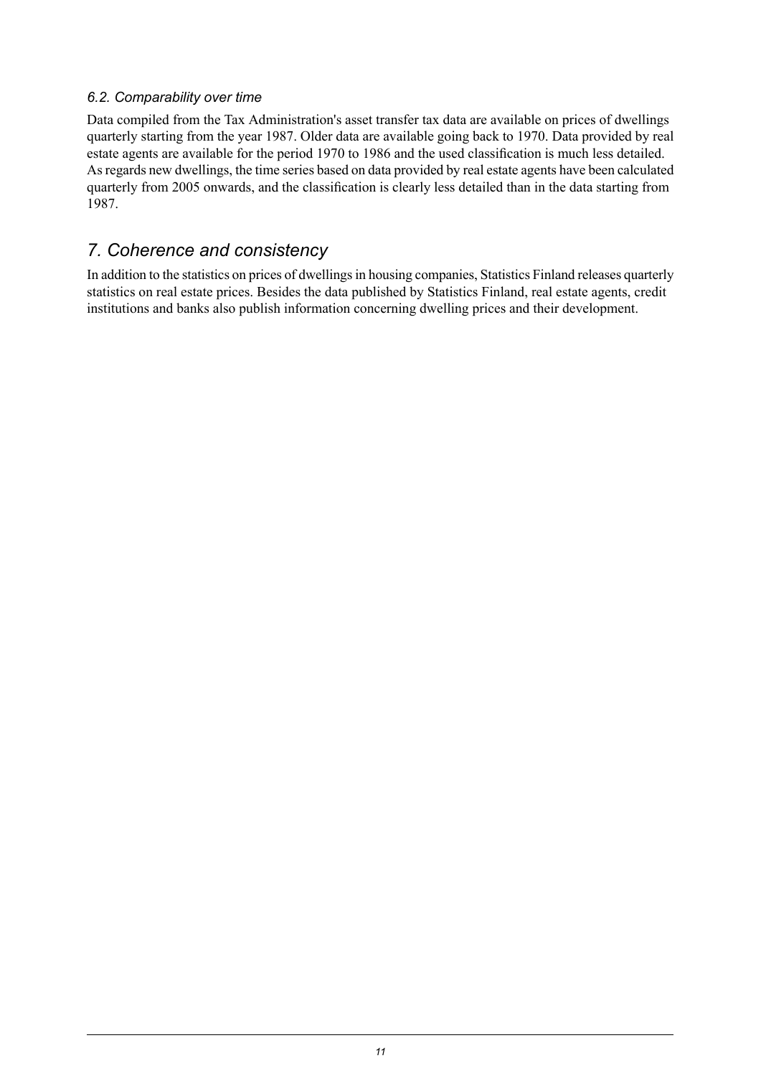#### *6.2. Comparability over time*

Data compiled from the Tax Administration's asset transfer tax data are available on prices of dwellings quarterly starting from the year 1987. Older data are available going back to 1970. Data provided by real estate agents are available for the period 1970 to 1986 and the used classification is much less detailed. Asregards new dwellings, the time series based on data provided by real estate agents have been calculated quarterly from 2005 onwards, and the classification is clearly less detailed than in the data starting from 1987.

### *7. Coherence and consistency*

In addition to the statistics on prices of dwellings in housing companies, Statistics Finland releases quarterly statistics on real estate prices. Besides the data published by Statistics Finland, real estate agents, credit institutions and banks also publish information concerning dwelling prices and their development.